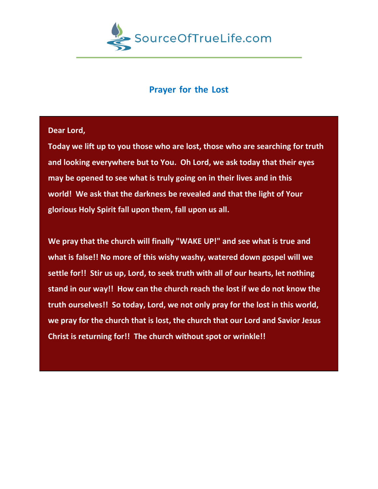

## **Prayer for the Lost**

**Dear Lord,** 

**Today we lift up to you those who are lost, those who are searching for truth and looking everywhere but to You. Oh Lord, we ask today that their eyes may be opened to see what is truly going on in their lives and in this world! We ask that the darkness be revealed and that the light of Your glorious Holy Spirit fall upon them, fall upon us all.** 

**We pray that the church will finally "WAKE UP!" and see what is true and what is false!! No more of this wishy washy, watered down gospel will we settle for!! Stir us up, Lord, to seek truth with all of our hearts, let nothing stand in our way!! How can the church reach the lost if we do not know the truth ourselves!! So today, Lord, we not only pray for the lost in this world, we pray for the church that is lost, the church that our Lord and Savior Jesus Christ is returning for!! The church without spot or wrinkle!!**